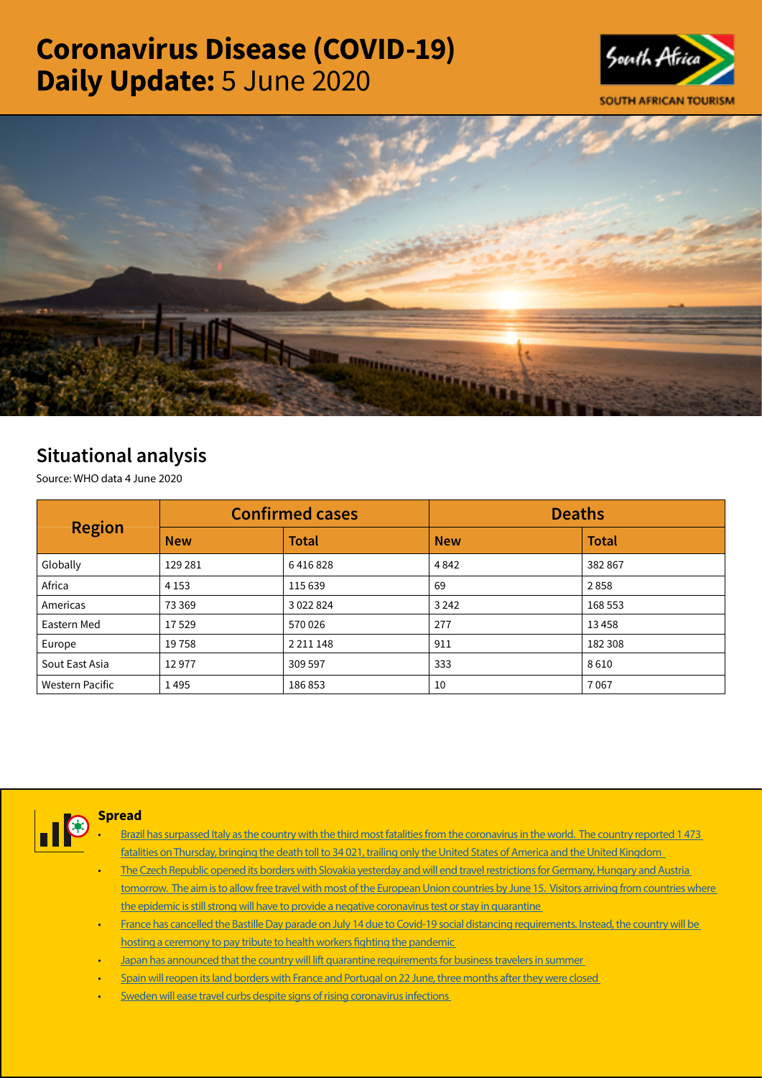# Coronavirus Disease (COVID-19) Daily Update: 5 June 2020





## Situational analysis

Source: WHO data 4 June 2020

| <b>Region</b>          |            | <b>Confirmed cases</b> | <b>Deaths</b> |              |  |
|------------------------|------------|------------------------|---------------|--------------|--|
|                        | <b>New</b> | <b>Total</b>           | <b>New</b>    | <b>Total</b> |  |
| Globally               | 129 281    | 6416828                | 4842          | 382 867      |  |
| Africa                 | 4 1 5 3    | 115 639                | 69            | 2858         |  |
| Americas               | 73 3 69    | 3 0 2 2 8 2 4          | 3 2 4 2       | 168 553      |  |
| Eastern Med            | 17529      | 570026                 | 277           | 13458        |  |
| Europe                 | 19758      | 2 2 1 1 1 4 8          | 911           | 182 308      |  |
| Sout East Asia         | 12977      | 309 597                | 333           | 8610         |  |
| <b>Western Pacific</b> | 1495       | 186853                 | 10            | 7067         |  |



### Spread

- Brazil has surpassed Italy as the country with the third most fatalities from the coronavirus in the world. The country reported 1473 [fatalities on Thursday, bringing the death toll to 34 021, trailing only the United States of America and the United Kingdom](https://t.co/g4v41m6cet?amp=1)
- [The Czech Republic opened its borders with Slovakia yesterday and will end travel restrictions for Germany, Hungary and Austria](https://is.gd/r14BdZ)  tomorrow. The aim is to allow free travel with most of the European Union countries by June 15. Visitors arriving from countries where [the epidemic is still strong will have to provide a negative coronavirus test or stay in quarantine](https://is.gd/r14BdZ)
- [France has cancelled the Bastille Day parade on July 14 due to Covid-19 social distancing requirements. Instead, the country will be](https://t.co/pSJgtXK7qz?amp=1)  [hosting a ceremony to pay tribute to health workers fighting the pandemic](https://t.co/pSJgtXK7qz?amp=1)
- [Japan has announced that the country will lift quarantine requirements for business travelers in summer](https://t.co/oj0KoaQPI9?amp=1)
- [Spain will reopen its land borders with France and Portugal on 22 June, three months after they were closed](https://t.co/7DhwNMySQb?amp=1)
- Sweden will ease travel curbs despite signs of rising coronavirus infections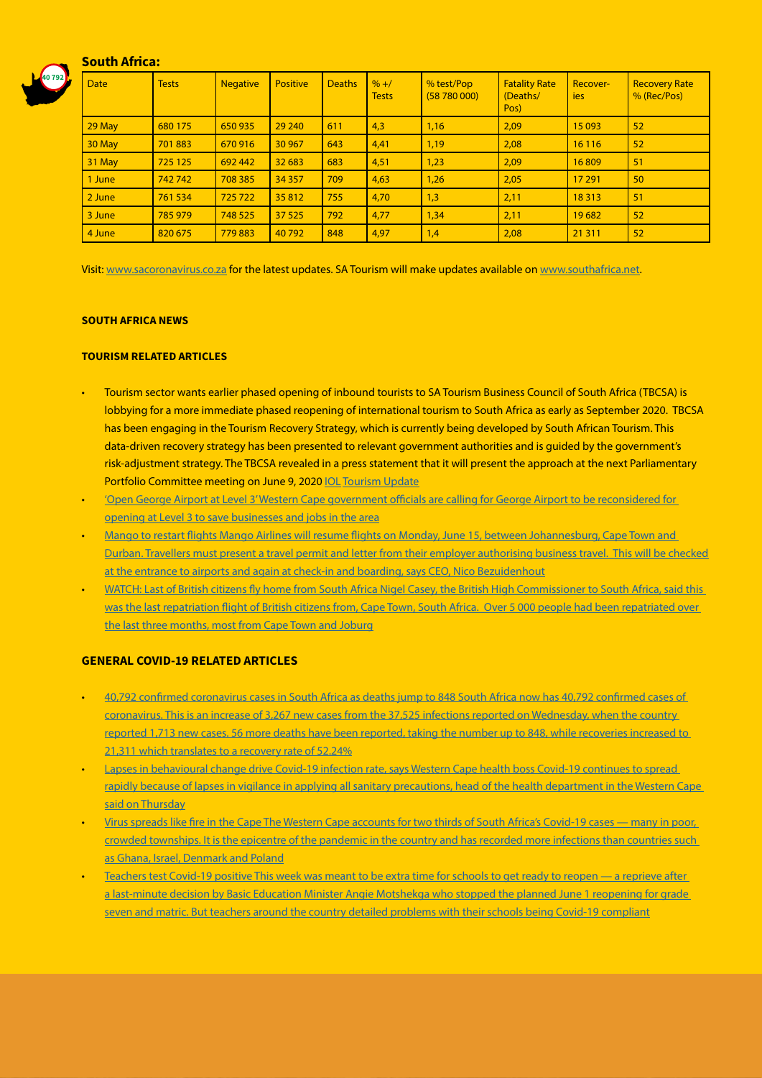#### South Africa:



| <b>Date</b> | <b>Tests</b> | <b>Negative</b> | <b>Positive</b> | <b>Deaths</b> | $% + /$<br><b>Tests</b> | % test/Pop<br>(58780000) | <b>Fatality Rate</b><br>(Deaths/<br>Pos) | Recover-<br>ies | <b>Recovery Rate</b><br>% (Rec/Pos) |
|-------------|--------------|-----------------|-----------------|---------------|-------------------------|--------------------------|------------------------------------------|-----------------|-------------------------------------|
| $29$ May    | 680 175      | 650 935         | 29 240          | 611           | 4,3                     | 1,16                     | 2,09                                     | 15 0 93         | 52                                  |
| 30 May      | 701883       | 670 916         | 30 967          | 643           | 4,41                    | 1,19                     | 2,08                                     | 16 116          | 52                                  |
| 31 May      | 725 125      | 692 442         | 32 683          | 683           | 4,51                    | 1,23                     | 2,09                                     | 16809           | 51                                  |
| 1 June      | 742742       | 708 385         | 34 3 57         | 709           | 4,63                    | 1,26                     | 2,05                                     | 17 291          | 50                                  |
| 2 June      | 761 534      | 725 722         | 35812           | 755           | 4,70                    | 1,3                      | 2,11                                     | 18313           | 51                                  |
| 3 June      | 785 979      | 748 525         | 37 5 25         | 792           | 4,77                    | 1,34                     | 2,11                                     | 19682           | 52                                  |
| 4 June      | 820 675      | 779883          | 40792           | 848           | 4,97                    | 1,4                      | 2,08                                     | 21 3 11         | 52                                  |

Visit: [www.sacoronavirus.co.za](http://www.sacoronavirus.co.za) for the latest updates. SA Tourism will make updates available on [www.southafrica.net.](http://www.southafrica.net)

#### SOUTH AFRICA NEWS

#### TOURISM RELATED ARTICLES

- Tourism sector wants earlier phased opening of inbound tourists to SA Tourism Business Council of South Africa (TBCSA) is lobbying for a more immediate phased reopening of international tourism to South Africa as early as September 2020. TBCSA has been engaging in the Tourism Recovery Strategy, which is currently being developed by South African Tourism. This data-driven recovery strategy has been presented to relevant government authorities and is guided by the government's risk-adjustment strategy. The TBCSA revealed in a press statement that it will present the approach at the next Parliamentary Portfolio Committee meeting on June 9, 2020 [IOL](https://www.iol.co.za/travel/travel-news/tourism-sector-wants-earlier-phased-opening-of-inbound-tourists-to-sa-48965005) [Tourism Update](http://www.tourismupdate.co.za/article/199573/September-targeted-to-start-opening-inbound-tourism)
- ['Open George Airport at Level 3' Western Cape government officials are calling for George Airport to be reconsidered for](http://www.tourismupdate.co.za/article/199570/Open-George-Airport-at-Level-3)  [opening at Level 3 to save businesses and jobs in the area](http://www.tourismupdate.co.za/article/199570/Open-George-Airport-at-Level-3)
- [Mango to restart flights Mango Airlines will resume flights on Monday, June 15, between Johannesburg, Cape Town and](http://www.tourismupdate.co.za/article/199574/Mango-to-restart-flights)  [Durban. Travellers must present a travel permit and letter from their employer authorising business travel. This will be checked](http://www.tourismupdate.co.za/article/199574/Mango-to-restart-flights)  [at the entrance to airports and again at check-in and boarding, says CEO, Nico Bezuidenhout](http://www.tourismupdate.co.za/article/199574/Mango-to-restart-flights)
- [WATCH: Last of British citizens fly home from South Africa Nigel Casey, the British High Commissioner to South Africa, said this](https://www.iol.co.za/travel/travel-news/watch-last-of-british-citizens-fly-home-from-south-africa-48957552)  [was the last repatriation flight of British citizens from, Cape Town, South Africa. Over 5 000 people had been repatriated over](https://www.iol.co.za/travel/travel-news/watch-last-of-british-citizens-fly-home-from-south-africa-48957552)  [the last three months, most from Cape Town and Joburg](https://www.iol.co.za/travel/travel-news/watch-last-of-british-citizens-fly-home-from-south-africa-48957552)

#### GENERAL COVID-19 RELATED ARTICLES

- [40,792 confirmed coronavirus cases in South Africa as deaths jump to 848 South Africa now has 40,792 confirmed cases of](https://businesstech.co.za/news/trending/404955/40792-confirmed-coronavirus-cases-in-south-africa-as-deaths-jump-to-848/)  [coronavirus. This is an increase of 3,267 new cases from the 37,525 infections reported on Wednesday, when the country](https://businesstech.co.za/news/trending/404955/40792-confirmed-coronavirus-cases-in-south-africa-as-deaths-jump-to-848/)  [reported 1,713 new cases. 56 more deaths have been reported, taking the number up to 848, while recoveries increased to](https://businesstech.co.za/news/trending/404955/40792-confirmed-coronavirus-cases-in-south-africa-as-deaths-jump-to-848/)  [21,311 which translates to a recovery rate of 52.24%](https://businesstech.co.za/news/trending/404955/40792-confirmed-coronavirus-cases-in-south-africa-as-deaths-jump-to-848/)
- [Lapses in behavioural change drive Covid-19 infection rate, says Western Cape health boss Covid-19 continues to spread](https://www.iol.co.za/news/south-africa/western-cape/lapses-in-behavioural-change-drive-covid-19-infection-rate-says-western-cape-health-boss-48966074)  [rapidly because of lapses in vigilance in applying all sanitary precautions, head of the health department in the Western Cape](https://www.iol.co.za/news/south-africa/western-cape/lapses-in-behavioural-change-drive-covid-19-infection-rate-says-western-cape-health-boss-48966074)  [said on Thursday](https://www.iol.co.za/news/south-africa/western-cape/lapses-in-behavioural-change-drive-covid-19-infection-rate-says-western-cape-health-boss-48966074)
- [Virus spreads like fire in the Cape The Western Cape accounts for two thirds of South Africa's Covid-19 cases many in poor,](https://mg.co.za/news/2020-06-04-virus-spreads-like-fire-in-the-cape/)  [crowded townships. It is the epicentre of the pandemic in the country and has recorded more infections than countries such](https://mg.co.za/news/2020-06-04-virus-spreads-like-fire-in-the-cape/)  [as Ghana, Israel, Denmark and Poland](https://mg.co.za/news/2020-06-04-virus-spreads-like-fire-in-the-cape/)
- [Teachers test Covid-19 positive This week was meant to be extra time for schools to get ready to reopen a reprieve after](https://mg.co.za/coronavirus-essentials/2020-06-05-teachers-test-covid-19-positive/)  [a last-minute decision by Basic Education Minister Angie Motshekga who stopped the planned June 1 reopening for grade](https://mg.co.za/coronavirus-essentials/2020-06-05-teachers-test-covid-19-positive/)  [seven and matric. But teachers around the country detailed problems with their schools being Covid-19 compliant](https://mg.co.za/coronavirus-essentials/2020-06-05-teachers-test-covid-19-positive/)